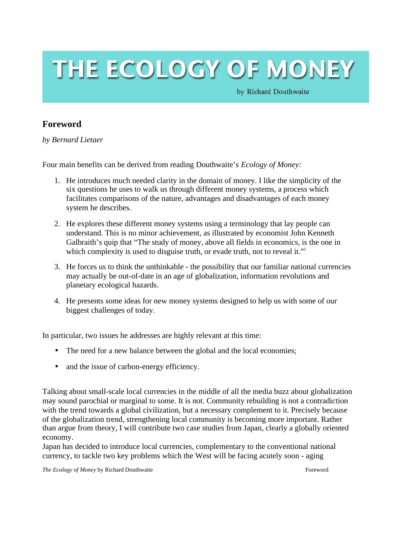## THE ECOLOGY OF MONEY

by Richard Douthwaite

## **Foreword**

*by Bernard Lietaer*

Four main benefits can be derived from reading Douthwaite's *Ecology of Money:*

- 1. He introduces much needed clarity in the domain of money. I like the simplicity of the six questions he uses to walk us through different money systems, a process which facilitates comparisons of the nature, advantages and disadvantages of each money system he describes.
- 2. He explores these different money systems using a terminology that lay people can understand. This is no minor achievement, as illustrated by economist John Kenneth Galbraith's quip that "The study of money, above all fields in economics, is the one in which complexity is used to disguise truth, or evade truth, not to reveal it."<sup>1</sup>
- 3. He forces us to think the unthinkable the possibility that our familiar national currencies may actually be out-of-date in an age of globalization, information revolutions and planetary ecological hazards.
- 4. He presents some ideas for new money systems designed to help us with some of our biggest challenges of today.

In particular, two issues he addresses are highly relevant at this time:

- The need for a new balance between the global and the local economies;
- and the issue of carbon-energy efficiency.

Talking about small-scale local currencies in the middle of all the media buzz about globalization may sound parochial or marginal to some. It is not. Community rebuilding is not a contradiction with the trend towards a global civilization, but a necessary complement to it. Precisely because of the globalization trend, strengthening local community is becoming more important. Rather than argue from theory, I will contribute two case studies from Japan, clearly a globally oriented economy.

Japan has decided to introduce local currencies, complementary to the conventional national currency, to tackle two key problems which the West will be facing acutely soon - aging

**The Ecology of Money by Richard Douthwaite Foreword** Foreword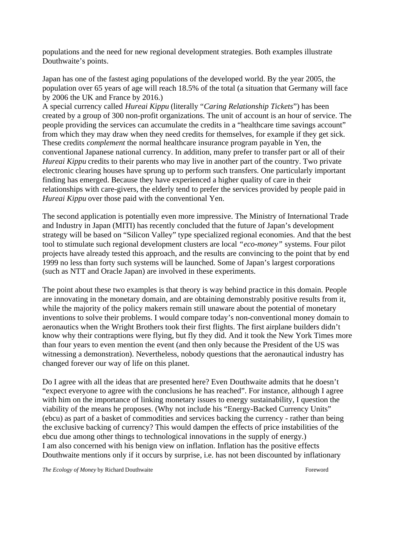populations and the need for new regional development strategies. Both examples illustrate Douthwaite's points.

Japan has one of the fastest aging populations of the developed world. By the year 2005, the population over 65 years of age will reach 18.5% of the total (a situation that Germany will face by 2006 the UK and France by 2016.)

A special currency called *Hureai Kippu* (literally "*Caring Relationship Tickets*") has been created by a group of 300 non-profit organizations. The unit of account is an hour of service. The people providing the services can accumulate the credits in a "healthcare time savings account" from which they may draw when they need credits for themselves, for example if they get sick. These credits *complement* the normal healthcare insurance program payable in Yen, the conventional Japanese national currency. In addition, many prefer to transfer part or all of their *Hureai Kippu* credits to their parents who may live in another part of the country. Two private electronic clearing houses have sprung up to perform such transfers. One particularly important finding has emerged. Because they have experienced a higher quality of care in their relationships with care-givers, the elderly tend to prefer the services provided by people paid in *Hureai Kippu* over those paid with the conventional Yen.

The second application is potentially even more impressive. The Ministry of International Trade and Industry in Japan (MITI) has recently concluded that the future of Japan's development strategy will be based on "Silicon Valley" type specialized regional economies. And that the best tool to stimulate such regional development clusters are local *"eco-money"* systems. Four pilot projects have already tested this approach, and the results are convincing to the point that by end 1999 no less than forty such systems will be launched. Some of Japan's largest corporations (such as NTT and Oracle Japan) are involved in these experiments.

The point about these two examples is that theory is way behind practice in this domain. People are innovating in the monetary domain, and are obtaining demonstrably positive results from it, while the majority of the policy makers remain still unaware about the potential of monetary inventions to solve their problems. I would compare today's non-conventional money domain to aeronautics when the Wright Brothers took their first flights. The first airplane builders didn't know why their contraptions were flying, but fly they did. And it took the New York Times more than four years to even mention the event (and then only because the President of the US was witnessing a demonstration). Nevertheless, nobody questions that the aeronautical industry has changed forever our way of life on this planet.

Do I agree with all the ideas that are presented here? Even Douthwaite admits that he doesn't "expect everyone to agree with the conclusions he has reached". For instance, although I agree with him on the importance of linking monetary issues to energy sustainability, I question the viability of the means he proposes. (Why not include his "Energy-Backed Currency Units" (ebcu) as part of a basket of commodities and services backing the currency - rather than being the exclusive backing of currency? This would dampen the effects of price instabilities of the ebcu due among other things to technological innovations in the supply of energy.) I am also concerned with his benign view on inflation. Inflation has the positive effects Douthwaite mentions only if it occurs by surprise, i.e. has not been discounted by inflationary

**The Ecology of Money by Richard Douthwaite Foreword** Foreword